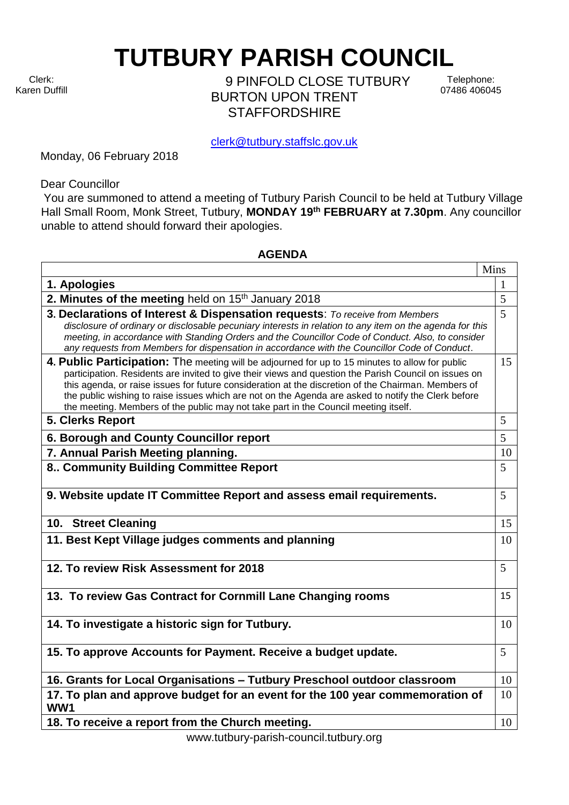Clerk: Karen Duffill **TUTBURY PARISH COUNCIL** 

9 PINFOLD CLOSE TUTBURY BURTON UPON TRENT **STAFFORDSHIRF** 

Telephone: 07486 406045

clerk@tutbury.staffslc.gov.uk

Monday, 06 February 2018

Dear Councillor

You are summoned to attend a meeting of Tutbury Parish Council to be held at Tutbury Village Hall Small Room, Monk Street, Tutbury, **MONDAY 19 th FEBRUARY at 7.30pm**. Any councillor unable to attend should forward their apologies.

## **AGENDA**

|                                                                                                                                                                                                                                                                                                                                                                                                                                                                                                               | Mins |
|---------------------------------------------------------------------------------------------------------------------------------------------------------------------------------------------------------------------------------------------------------------------------------------------------------------------------------------------------------------------------------------------------------------------------------------------------------------------------------------------------------------|------|
| 1. Apologies                                                                                                                                                                                                                                                                                                                                                                                                                                                                                                  | 1    |
| 2. Minutes of the meeting held on 15 <sup>th</sup> January 2018                                                                                                                                                                                                                                                                                                                                                                                                                                               | 5    |
| 3. Declarations of Interest & Dispensation requests: To receive from Members<br>disclosure of ordinary or disclosable pecuniary interests in relation to any item on the agenda for this<br>meeting, in accordance with Standing Orders and the Councillor Code of Conduct. Also, to consider<br>any requests from Members for dispensation in accordance with the Councillor Code of Conduct.                                                                                                                | 5    |
| 4. Public Participation: The meeting will be adjourned for up to 15 minutes to allow for public<br>participation. Residents are invited to give their views and question the Parish Council on issues on<br>this agenda, or raise issues for future consideration at the discretion of the Chairman. Members of<br>the public wishing to raise issues which are not on the Agenda are asked to notify the Clerk before<br>the meeting. Members of the public may not take part in the Council meeting itself. | 15   |
| 5. Clerks Report                                                                                                                                                                                                                                                                                                                                                                                                                                                                                              | 5    |
| 6. Borough and County Councillor report                                                                                                                                                                                                                                                                                                                                                                                                                                                                       | 5    |
| 7. Annual Parish Meeting planning.                                                                                                                                                                                                                                                                                                                                                                                                                                                                            | 10   |
| 8 Community Building Committee Report                                                                                                                                                                                                                                                                                                                                                                                                                                                                         | 5    |
| 9. Website update IT Committee Report and assess email requirements.                                                                                                                                                                                                                                                                                                                                                                                                                                          | 5    |
| 10. Street Cleaning                                                                                                                                                                                                                                                                                                                                                                                                                                                                                           | 15   |
| 11. Best Kept Village judges comments and planning                                                                                                                                                                                                                                                                                                                                                                                                                                                            | 10   |
| 12. To review Risk Assessment for 2018                                                                                                                                                                                                                                                                                                                                                                                                                                                                        | 5    |
| 13. To review Gas Contract for Cornmill Lane Changing rooms                                                                                                                                                                                                                                                                                                                                                                                                                                                   | 15   |
| 14. To investigate a historic sign for Tutbury.                                                                                                                                                                                                                                                                                                                                                                                                                                                               | 10   |
| 15. To approve Accounts for Payment. Receive a budget update.                                                                                                                                                                                                                                                                                                                                                                                                                                                 | 5    |
| 16. Grants for Local Organisations - Tutbury Preschool outdoor classroom                                                                                                                                                                                                                                                                                                                                                                                                                                      | 10   |
| 17. To plan and approve budget for an event for the 100 year commemoration of<br>WW1                                                                                                                                                                                                                                                                                                                                                                                                                          | 10   |
| 18. To receive a report from the Church meeting.                                                                                                                                                                                                                                                                                                                                                                                                                                                              | 10   |